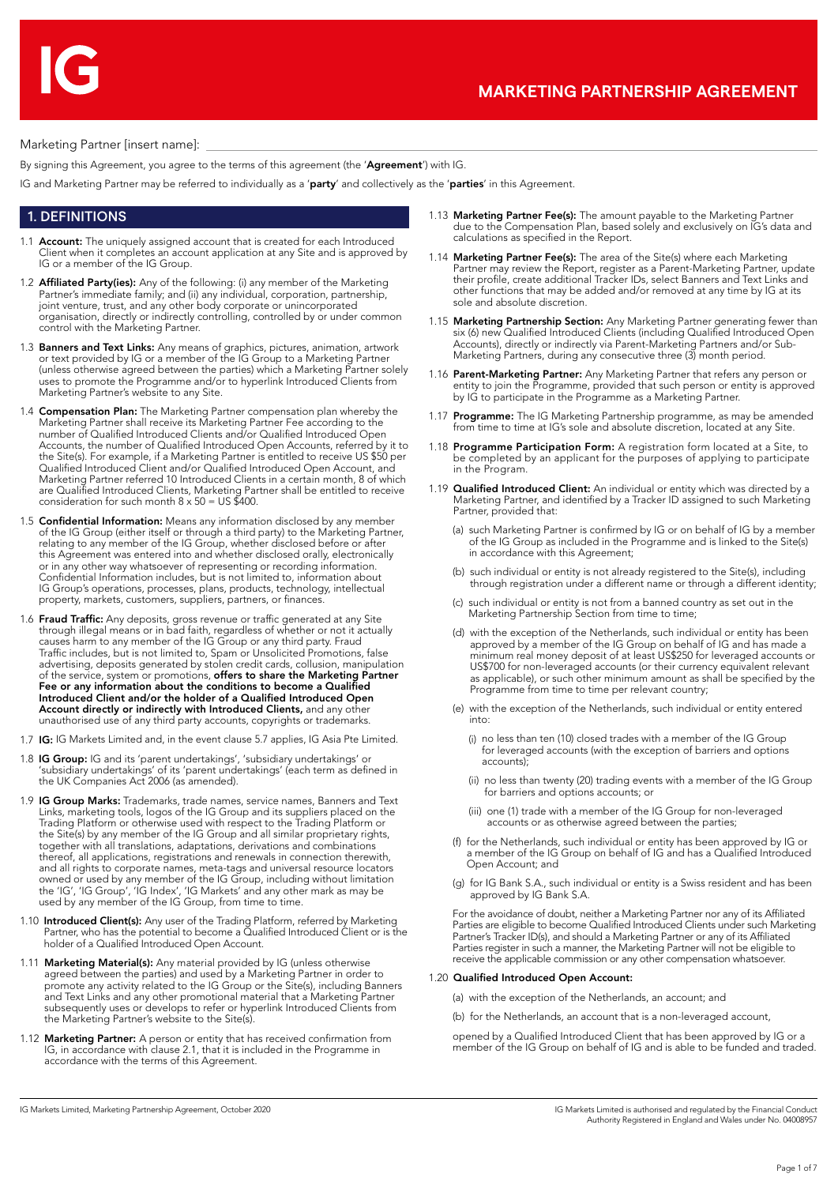#### Marketing Partner [insert name]:

By signing this Agreement, you agree to the terms of this agreement (the 'Agreement') with IG.

IG and Marketing Partner may be referred to individually as a 'party' and collectively as the 'parties' in this Agreement.

## 1. DEFINITIONS

- 1.1 **Account:** The uniquely assigned account that is created for each Introduced Client when it completes an account application at any Site and is approved by IG or a member of the IG Group.
- 1.2 **Affiliated Party(ies):** Any of the following: (i) any member of the Marketing Partner's immediate family; and (ii) any individual, corporation, partnership, joint venture, trust, and any other body corporate or unincorporated organisation, directly or indirectly controlling, controlled by or under common control with the Marketing Partner.
- 1.3 Banners and Text Links: Any means of graphics, pictures, animation, artwork or text provided by IG or a member of the IG Group to a Marketing Partner (unless otherwise agreed between the parties) which a Marketing Partner solely uses to promote the Programme and/or to hyperlink Introduced Clients from Marketing Partner's website to any Site.
- 1.4 **Compensation Plan:** The Marketing Partner compensation plan whereby the Marketing Partner shall receive its Marketing Partner Fee according to the number of Qualified Introduced Clients and/or Qualified Introduced Open Accounts, the number of Qualified Introduced Open Accounts, referred by it to the Site(s). For example, if a Marketing Partner is entitled to receive US \$50 per Qualified Introduced Client and/or Qualified Introduced Open Account, and Marketing Partner referred 10 Introduced Clients in a certain month, 8 of which are Qualified Introduced Clients, Marketing Partner shall be entitled to receive consideration for such month 8 x 50 = US \$400.
- 1.5 Confidential Information: Means any information disclosed by any member of the IG Group (either itself or through a third party) to the Marketing Partner, relating to any member of the IG Group, whether disclosed before or after this Agreement was entered into and whether disclosed orally, electronically or in any other way whatsoever of representing or recording information. Confidential Information includes, but is not limited to, information about IG Group's operations, processes, plans, products, technology, intellectual property, markets, customers, suppliers, partners, or finances
- 1.6 Fraud Traffic: Any deposits, gross revenue or traffic generated at any Site through illegal means or in bad faith, regardless of whether or not it actually causes harm to any member of the IG Group or any third party. Fraud Traffic includes, but is not limited to, Spam or Unsolicited Promotions, false advertising, deposits generated by stolen credit cards, collusion, manipulation<br>of the service, system or promotions, **offers to share the Marketing Partner** Fee or any information about the conditions to become a Qualified Introduced Client and/or the holder of a Qualified Introduced Open Account directly or indirectly with Introduced Clients, and any other unauthorised use of any third party accounts, copyrights or trademarks.
- 1.7 IG: IG Markets Limited and, in the event clause 5.7 applies, IG Asia Pte Limited.
- 1.8 IG Group: IG and its 'parent undertakings', 'subsidiary undertakings' or 'subsidiary undertakings' of its 'parent undertakings' (each term as defined in the UK Companies Act 2006 (as amended).
- 1.9 IG Group Marks: Trademarks, trade names, service names, Banners and Text Links, marketing tools, logos of the IG Group and its suppliers placed on the Trading Platform or otherwise used with respect to the Trading Platform or the Site(s) by any member of the IG Group and all similar proprietary rights, together with all translations, adaptations, derivations and combinations thereof, all applications, registrations and renewals in connection therewith, and all rights to corporate names, meta-tags and universal resource locators owned or used by any member of the IG Group, including without limitation the 'IG', 'IG Group', 'IG Index', 'IG Markets' and any other mark as may be used by any member of the IG Group, from time to time.
- 1.10 **Introduced Client(s):** Any user of the Trading Platform, referred by Marketing Partner, who has the potential to become a Qualified Introduced Client or is the holder of a Qualified Introduced Open Account.
- 1.11 Marketing Material(s): Any material provided by IG (unless otherwise agreed between the parties) and used by a Marketing Partner in order to promote any activity related to the IG Group or the Site(s), including Banners and Text Links and any other promotional material that a Marketing Partner subsequently uses or develops to refer or hyperlink Introduced Clients from the Marketing Partner's website to the Site(s).
- 1.12 Marketing Partner: A person or entity that has received confirmation from IG, in accordance with clause 2.1, that it is included in the Programme in accordance with the terms of this Agreement.
- 1.13 Marketing Partner Fee(s): The amount payable to the Marketing Partner due to the Compensation Plan, based solely and exclusively on IG's data and calculations as specified in the Report.
- 1.14 Marketing Partner Fee(s): The area of the Site(s) where each Marketing Partner may review the Report, register as a Parent-Marketing Partner, update their profile, create additional Tracker IDs, select Banners and Text Links and other functions that may be added and/or removed at any time by IG at its sole and absolute discretion.
- 1.15 Marketing Partnership Section: Any Marketing Partner generating fewer than six (6) new Qualified Introduced Clients (including Qualified Introduced Open Accounts), directly or indirectly via Parent-Marketing Partners and/or Sub-Marketing Partners, during any consecutive three (3) month period.
- 1.16 Parent-Marketing Partner: Any Marketing Partner that refers any person or entity to join the Programme, provided that such person or entity is approved by IG to participate in the Programme as a Marketing Partner.
- 1.17 Programme: The IG Marketing Partnership programme, as may be amended from time to time at IG's sole and absolute discretion, located at any Site.
- 1.18 Programme Participation Form: A registration form located at a Site, to be completed by an applicant for the purposes of applying to participate in the Program.
- 1.19 **Qualified Introduced Client:** An individual or entity which was directed by a Marketing Partner, and identified by a Tracker ID assigned to such Marketing Partner, provided that:
	- (a) such Marketing Partner is confirmed by IG or on behalf of IG by a member of the IG Group as included in the Programme and is linked to the Site(s) in accordance with this Agreement;
	- (b) such individual or entity is not already registered to the Site(s), including through registration under a different name or through a different identity;
	- (c) such individual or entity is not from a banned country as set out in the Marketing Partnership Section from time to time;
	- (d) with the exception of the Netherlands, such individual or entity has been approved by a member of the IG Group on behalf of IG and has made a minimum real money deposit of at least US\$250 for leveraged accounts or US\$700 for non-leveraged accounts (or their currency equivalent relevant as applicable), or such other minimum amount as shall be specified by the Programme from time to time per relevant country;
	- (e) with the exception of the Netherlands, such individual or entity entered into:
		- (i) no less than ten (10) closed trades with a member of the IG Group for leveraged accounts (with the exception of barriers and options accounts);
		- (ii) no less than twenty (20) trading events with a member of the IG Group for barriers and options accounts; or
		- (iii) one (1) trade with a member of the IG Group for non-leveraged accounts or as otherwise agreed between the parties;
	- (f) for the Netherlands, such individual or entity has been approved by IG or a member of the IG Group on behalf of IG and has a Qualified Introduced Open Account; and
	- (g) for IG Bank S.A., such individual or entity is a Swiss resident and has been approved by IG Bank S.A.

For the avoidance of doubt, neither a Marketing Partner nor any of its Affiliated Parties are eligible to become Qualified Introduced Clients under such Marketing Partner's Tracker ID(s), and should a Marketing Partner or any of its Affiliated Parties register in such a manner, the Marketing Partner will not be eligible to receive the applicable commission or any other compensation whatsoever.

#### 1.20 Qualified Introduced Open Account:

(a) with the exception of the Netherlands, an account; and

(b) for the Netherlands, an account that is a non-leveraged account,

opened by a Qualified Introduced Client that has been approved by IG or a member of the IG Group on behalf of IG and is able to be funded and traded.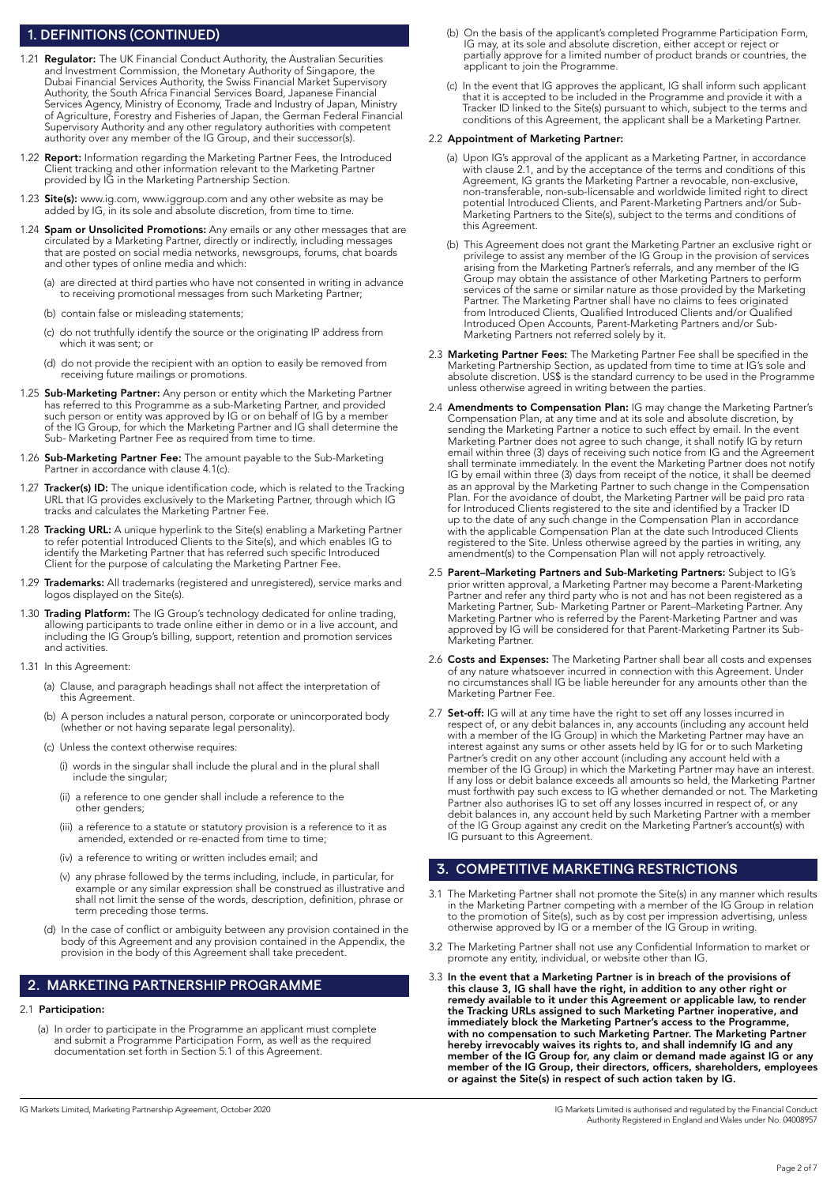### 1. DEFINITIONS (CONTINUED)

- 1.21 Regulator: The UK Financial Conduct Authority, the Australian Securities and Investment Commission, the Monetary Authority of Singapore, the Dubai Financial Services Authority, the Swiss Financial Market Supervisory Authority, the South Africa Financial Services Board, Japanese Financial Services Agency, Ministry of Economy, Trade and Industry of Japan, Ministry of Agriculture, Forestry and Fisheries of Japan, the German Federal Financial Supervisory Authority and any other regulatory authorities with competent authority over any member of the IG Group, and their successor(s).
- 1.22 Report: Information regarding the Marketing Partner Fees, the Introduced Client tracking and other information relevant to the Marketing Partner provided by IG in the Marketing Partnership Section.
- 1.23 Site(s): www.ig.com, www.iggroup.com and any other website as may be added by IG, in its sole and absolute discretion, from time to time.
- 1.24 Spam or Unsolicited Promotions: Any emails or any other messages that are circulated by a Marketing Partner, directly or indirectly, including messages that are posted on social media networks, newsgroups, forums, chat boards and other types of online media and which:
	- (a) are directed at third parties who have not consented in writing in advance to receiving promotional messages from such Marketing Partner;
	- (b) contain false or misleading statements;
	- (c) do not truthfully identify the source or the originating IP address from which it was sent; or
	- (d) do not provide the recipient with an option to easily be removed from receiving future mailings or promotions.
- 1.25 Sub-Marketing Partner: Any person or entity which the Marketing Partner has referred to this Programme as a sub-Marketing Partner, and provided such person or entity was approved by IG or on behalf of IG by a member of the IG Group, for which the Marketing Partner and IG shall determine the Sub- Marketing Partner Fee as required from time to time.
- 1.26 Sub-Marketing Partner Fee: The amount payable to the Sub-Marketing Partner in accordance with clause 4.1(c).
- 1.27 Tracker(s) ID: The unique identification code, which is related to the Tracking URL that IG provides exclusively to the Marketing Partner, through which IG tracks and calculates the Marketing Partner Fee.
- 1.28 Tracking URL: A unique hyperlink to the Site(s) enabling a Marketing Partner to refer potential Introduced Clients to the Site(s), and which enables IG to identify the Marketing Partner that has referred such specific Introduced Client for the purpose of calculating the Marketing Partner Fee.
- 1.29 Trademarks: All trademarks (registered and unregistered), service marks and logos displayed on the Site(s).
- 1.30 Trading Platform: The IG Group's technology dedicated for online trading, allowing participants to trade online either in demo or in a live account, and including the IG Group's billing, support, retention and promotion services and activities.
- 1.31 In this Agreement:
	- (a) Clause, and paragraph headings shall not affect the interpretation of this Agreement.
	- (b) A person includes a natural person, corporate or unincorporated body (whether or not having separate legal personality).
	- (c) Unless the context otherwise requires:
		- (i) words in the singular shall include the plural and in the plural shall include the singular;
		- (ii) a reference to one gender shall include a reference to the other genders;
- (iii) a reference to a statute or statutory provision is a reference to it as amended, extended or re-enacted from time to time;
	- (iv) a reference to writing or written includes email; and
- (v) any phrase followed by the terms including, include, in particular, for example or any similar expression shall be construed as illustrative and shall not limit the sense of the words, description, definition, phrase or term preceding those terms.
	- (d) In the case of conflict or ambiguity between any provision contained in the body of this Agreement and any provision contained in the Appendix, the provision in the body of this Agreement shall take precedent.

## 2. MARKETING PARTNERSHIP PROGRAMME

#### 2.1 Participation:

 (a) In order to participate in the Programme an applicant must complete and submit a Programme Participation Form, as well as the required documentation set forth in Section 5.1 of this Agreement.

- (b) On the basis of the applicant's completed Programme Participation Form, IG may, at its sole and absolute discretion, either accept or reject or partially approve for a limited number of product brands or countries, the applicant to join the Programme.
	- (c) In the event that IG approves the applicant, IG shall inform such applicant that it is accepted to be included in the Programme and provide it with a Tracker ID linked to the Site(s) pursuant to which, subject to the terms and conditions of this Agreement, the applicant shall be a Marketing Partner.

#### 2.2 Appointment of Marketing Partner:

- (a) Upon IG's approval of the applicant as a Marketing Partner, in accordance with clause 2.1, and by the acceptance of the terms and conditions of this Agreement, IG grants the Marketing Partner a revocable, non-exclusive, non-transferable, non-sub-licensable and worldwide limited right to direct potential Introduced Clients, and Parent-Marketing Partners and/or Sub-Marketing Partners to the Site(s), subject to the terms and conditions of this Agreement.
- (b) This Agreement does not grant the Marketing Partner an exclusive right or privilege to assist any member of the IG Group in the provision of services arising from the Marketing Partner's referrals, and any member of the IG Group may obtain the assistance of other Marketing Partners to perform services of the same or similar nature as those provided by the Marketing Partner. The Marketing Partner shall have no claims to fees originated from Introduced Clients, Qualified Introduced Clients and/or Qualified Introduced Open Accounts, Parent-Marketing Partners and/or Sub-Marketing Partners not referred solely by it.
- 2.3 Marketing Partner Fees: The Marketing Partner Fee shall be specified in the Marketing Partnership Section, as updated from time to time at IG's sole and absolute discretion. US\$ is the standard currency to be used in the Programme unless otherwise agreed in writing between the parties.
- 2.4 **Amendments to Compensation Plan:** IG may change the Marketing Partner's Compensation Plan, at any time and at its sole and absolute discretion, by sending the Marketing Partner a notice to such effect by email. In the event Marketing Partner does not agree to such change, it shall notify IG by return email within three (3) days of receiving such notice from IG and the Agreement shall terminate immediately. In the event the Marketing Partner does not notify IG by email within three (3) days from receipt of the notice, it shall be deemed as an approval by the Marketing Partner to such change in the Compensation Plan. For the avoidance of doubt, the Marketing Partner will be paid pro rata for Introduced Clients registered to the site and identified by a Tracker ID up to the date of any such change in the Compensation Plan in accordance with the applicable Compensation Plan at the date such Introduced Clients registered to the Site. Unless otherwise agreed by the parties in writing, any amendment(s) to the Compensation Plan will not apply retroactively.
- 2.5 Parent–Marketing Partners and Sub-Marketing Partners: Subject to IG's prior written approval, a Marketing Partner may become a Parent-Marketing Partner and refer any third party who is not and has not been registered as a Marketing Partner, Sub- Marketing Partner or Parent–Marketing Partner. Any Marketing Partner who is referred by the Parent-Marketing Partner and was approved by IG will be considered for that Parent-Marketing Partner its Sub-Marketing Partner.
- 2.6 Costs and Expenses: The Marketing Partner shall bear all costs and expenses of any nature whatsoever incurred in connection with this Agreement. Under no circumstances shall IG be liable hereunder for any amounts other than the Marketing Partner Fee.
- 2.7 Set-off: IG will at any time have the right to set off any losses incurred in respect of, or any debit balances in, any accounts (including any account held with a member of the IG Group) in which the Marketing Partner may have an interest against any sums or other assets held by IG for or to such Marketing Partner's credit on any other account (including any account held with a member of the IG Group) in which the Marketing Partner may have an interest. If any loss or debit balance exceeds all amounts so held, the Marketing Partner must forthwith pay such excess to IG whether demanded or not. The Marketing Partner also authorises IG to set off any losses incurred in respect of, or any debit balances in, any account held by such Marketing Partner with a member of the IG Group against any credit on the Marketing Partner's account(s) with IG pursuant to this Agreement.

## 3. COMPETITIVE MARKETING RESTRICTIONS

- 3.1 The Marketing Partner shall not promote the Site(s) in any manner which results in the Marketing Partner competing with a member of the IG Group in relation to the promotion of Site(s), such as by cost per impression advertising, unless otherwise approved by IG or a member of the IG Group in writing.
- 3.2 The Marketing Partner shall not use any Confidential Information to market or promote any entity, individual, or website other than IG.
- 3.3 In the event that a Marketing Partner is in breach of the provisions of this clause 3, IG shall have the right, in addition to any other right or remedy available to it under this Agreement or applicable law, to render the Tracking URLs assigned to such Marketing Partner inoperative, and immediately block the Marketing Partner's access to the Programme, with no compensation to such Marketing Partner. The Marketing Partner hereby irrevocably waives its rights to, and shall indemnify IG and any member of the IG Group for, any claim or demand made against IG or any member of the IG Group, their directors, officers, shareholders, employees or against the Site(s) in respect of such action taken by IG.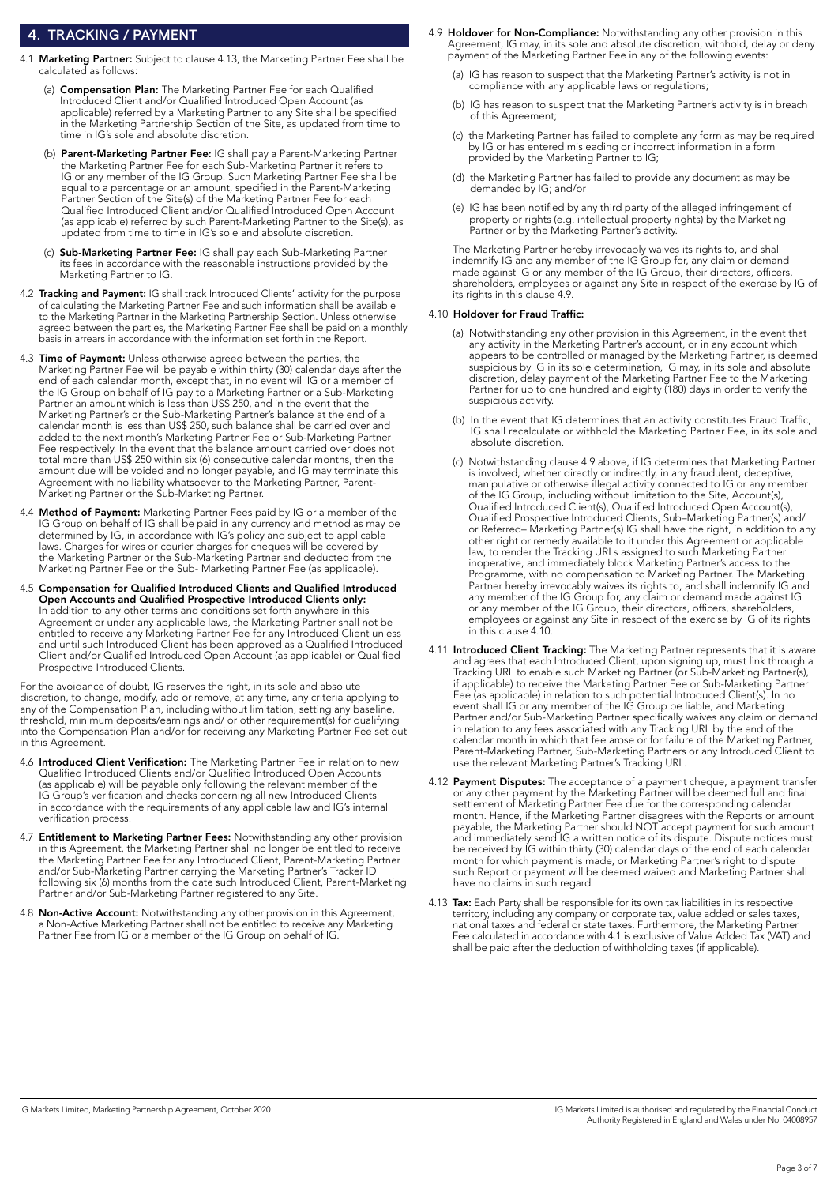### 4. TRACKING / PAYMENT

- 4.1 Marketing Partner: Subject to clause 4.13, the Marketing Partner Fee shall be calculated as follows:
- (a) **Compensation Plan:** The Marketing Partner Fee for each Qualified Introduced Client and/or Qualified Introduced Open Account (as applicable) referred by a Marketing Partner to any Site shall be specified in the Marketing Partnership Section of the Site, as updated from time to time in IG's sole and absolute discretion.
- (b) Parent-Marketing Partner Fee: IG shall pay a Parent-Marketing Partner the Marketing Partner Fee for each Sub-Marketing Partner it refers to IG or any member of the IG Group. Such Marketing Partner Fee shall be equal to a percentage or an amount, specified in the Parent-Marketing Partner Section of the Site(s) of the Marketing Partner Fee for each Qualified Introduced Client and/or Qualified Introduced Open Account (as applicable) referred by such Parent-Marketing Partner to the Site(s), as updated from time to time in IG's sole and absolute discretion.
	- (c) Sub-Marketing Partner Fee: IG shall pay each Sub-Marketing Partner its fees in accordance with the reasonable instructions provided by the Marketing Partner to IG.
- 4.2 Tracking and Payment: IG shall track Introduced Clients' activity for the purpose of calculating the Marketing Partner Fee and such information shall be available to the Marketing Partner in the Marketing Partnership Section. Unless otherwise agreed between the parties, the Marketing Partner Fee shall be paid on a monthly basis in arrears in accordance with the information set forth in the Report.
- 4.3 Time of Payment: Unless otherwise agreed between the parties, the Marketing Partner Fee will be payable within thirty (30) calendar days after the end of each calendar month, except that, in no event will IG or a member of the IG Group on behalf of IG pay to a Marketing Partner or a Sub-Marketing Partner an amount which is less than US\$ 250, and in the event that the Marketing Partner's or the Sub-Marketing Partner's balance at the end of a calendar month is less than US\$ 250, such balance shall be carried over and added to the next month's Marketing Partner Fee or Sub-Marketing Partner Fee respectively. In the event that the balance amount carried over does not total more than US\$ 250 within six (6) consecutive calendar months, then the amount due will be voided and no longer payable, and IG may terminate this Agreement with no liability whatsoever to the Marketing Partner, Parent-Marketing Partner or the Sub-Marketing Partner.
- 4.4 Method of Payment: Marketing Partner Fees paid by IG or a member of the IG Group on behalf of IG shall be paid in any currency and method as may be determined by IG, in accordance with IG's policy and subject to applicable laws. Charges for wires or courier charges for cheques will be covered by the Marketing Partner or the Sub-Marketing Partner and deducted from the Marketing Partner Fee or the Sub- Marketing Partner Fee (as applicable).
- 4.5 Compensation for Qualified Introduced Clients and Qualified Introduced Open Accounts and Qualified Prospective Introduced Clients only: In addition to any other terms and conditions set forth anywhere in this Agreement or under any applicable laws, the Marketing Partner shall not be entitled to receive any Marketing Partner Fee for any Introduced Client unless and until such Introduced Client has been approved as a Qualified Introduced Client and/or Qualified Introduced Open Account (as applicable) or Qualified Prospective Introduced Clients.

For the avoidance of doubt, IG reserves the right, in its sole and absolute discretion, to change, modify, add or remove, at any time, any criteria applying to any of the Compensation Plan, including without limitation, setting any baseline, threshold, minimum deposits/earnings and/ or other requirement(s) for qualifying into the Compensation Plan and/or for receiving any Marketing Partner Fee set out in this Agreement.

- 4.6 Introduced Client Verification: The Marketing Partner Fee in relation to new Qualified Introduced Clients and/or Qualified Introduced Open Accounts (as applicable) will be payable only following the relevant member of the IG Group's verification and checks concerning all new Introduced Clients in accordance with the requirements of any applicable law and IG's internal verification process.
- 4.7 Entitlement to Marketing Partner Fees: Notwithstanding any other provision in this Agreement, the Marketing Partner shall no longer be entitled to receive the Marketing Partner Fee for any Introduced Client, Parent-Marketing Partner and/or Sub-Marketing Partner carrying the Marketing Partner's Tracker ID following six (6) months from the date such Introduced Client, Parent-Marketing Partner and/or Sub-Marketing Partner registered to any Site.
- 4.8 **Non-Active Account:** Notwithstanding any other provision in this Agreement, a Non-Active Marketing Partner shall not be entitled to receive any Marketing Partner Fee from IG or a member of the IG Group on behalf of IG.
- 4.9 Holdover for Non-Compliance: Notwithstanding any other provision in this Agreement, IG may, in its sole and absolute discretion, withhold, delay or deny payment of the Marketing Partner Fee in any of the following events:
	- (a) IG has reason to suspect that the Marketing Partner's activity is not in compliance with any applicable laws or regulations;
	- (b) IG has reason to suspect that the Marketing Partner's activity is in breach of this Agreement;
	- (c) the Marketing Partner has failed to complete any form as may be required by IG or has entered misleading or incorrect information in a form provided by the Marketing Partner to IG;
	- (d) the Marketing Partner has failed to provide any document as may be demanded by IG; and/or
- (e) IG has been notified by any third party of the alleged infringement of property or rights (e.g. intellectual property rights) by the Marketing Partner or by the Marketing Partner's activity.

 The Marketing Partner hereby irrevocably waives its rights to, and shall indemnify IG and any member of the IG Group for, any claim or demand made against IG or any member of the IG Group, their directors, officers, shareholders, employees or against any Site in respect of the exercise by IG of its rights in this clause 4.9.

### 4.10 Holdover for Fraud Traffic:

- (a) Notwithstanding any other provision in this Agreement, in the event that any activity in the Marketing Partner's account, or in any account which appears to be controlled or managed by the Marketing Partner, is deemed suspicious by IG in its sole determination, IG may, in its sole and absolute discretion, delay payment of the Marketing Partner Fee to the Marketing Partner for up to one hundred and eighty (180) days in order to verify the suspicious activity.
- (b) In the event that IG determines that an activity constitutes Fraud Traffic, IG shall recalculate or withhold the Marketing Partner Fee, in its sole and absolute discretion.
	- (c) Notwithstanding clause 4.9 above, if IG determines that Marketing Partner is involved, whether directly or indirectly, in any fraudulent, deceptive, manipulative or otherwise illegal activity connected to IG or any member of the IG Group, including without limitation to the Site, Account(s), Qualified Introduced Client(s), Qualified Introduced Open Account(s), Qualified Prospective Introduced Clients, Sub–Marketing Partner(s) and/ or Referred– Marketing Partner(s) IG shall have the right, in addition to any other right or remedy available to it under this Agreement or applicable law, to render the Tracking URLs assigned to such Marketing Partner inoperative, and immediately block Marketing Partner's access to the Programme, with no compensation to Marketing Partner. The Marketing Partner hereby irrevocably waives its rights to, and shall indemnify IG and any member of the IG Group for, any claim or demand made against IG or any member of the IG Group, their directors, officers, shareholders, employees or against any Site in respect of the exercise by IG of its rights in this clause 4.10.
- 4.11 Introduced Client Tracking: The Marketing Partner represents that it is aware and agrees that each Introduced Client, upon signing up, must link through a Tracking URL to enable such Marketing Partner (or Sub-Marketing Partner(s), if applicable) to receive the Marketing Partner Fee or Sub-Marketing Partner Fee (as applicable) in relation to such potential Introduced Client(s). In no event shall IG or any member of the IG Group be liable, and Marketing Partner and/or Sub-Marketing Partner specifically waives any claim or demand in relation to any fees associated with any Tracking URL by the end of the calendar month in which that fee arose or for failure of the Marketing Partner, Parent-Marketing Partner, Sub-Marketing Partners or any Introduced Client to use the relevant Marketing Partner's Tracking URL.
- 4.12 Payment Disputes: The acceptance of a payment cheque, a payment transfer or any other payment by the Marketing Partner will be deemed full and final settlement of Marketing Partner Fee due for the corresponding calendar month. Hence, if the Marketing Partner disagrees with the Reports or amount payable, the Marketing Partner should NOT accept payment for such amount and immediately send IG a written notice of its dispute. Dispute notices must be received by IG within thirty (30) calendar days of the end of each calendar month for which payment is made, or Marketing Partner's right to dispute such Report or payment will be deemed waived and Marketing Partner shall have no claims in such regard.
- 4.13 Tax: Each Party shall be responsible for its own tax liabilities in its respective territory, including any company or corporate tax, value added or sales taxes, national taxes and federal or state taxes. Furthermore, the Marketing Partner Fee calculated in accordance with 4.1 is exclusive of Value Added Tax (VAT) and shall be paid after the deduction of withholding taxes (if applicable).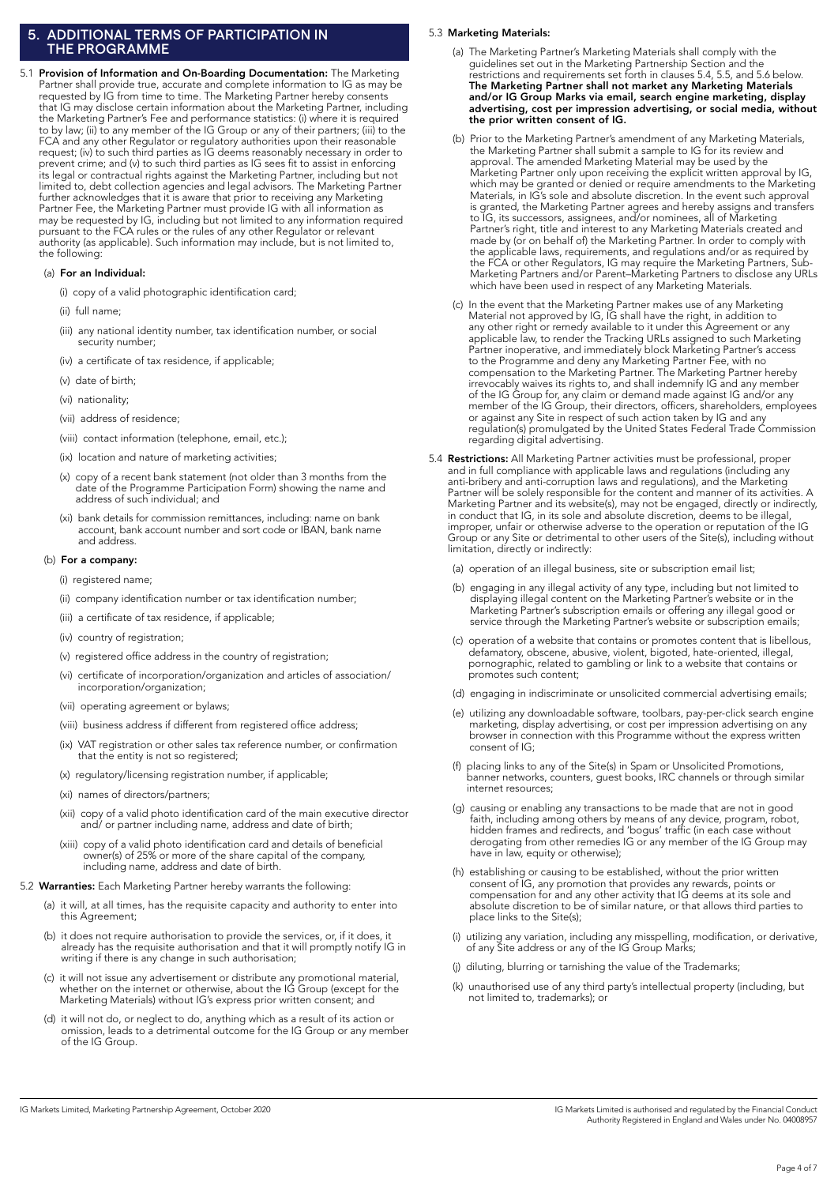#### 5. ADDITIONAL TERMS OF PARTICIPATION IN THE PROGRAMME

5.1 Provision of Information and On-Boarding Documentation: The Marketing Partner shall provide true, accurate and complete information to IG as may be requested by IG from time to time. The Marketing Partner hereby consents that IG may disclose certain information about the Marketing Partner, including the Marketing Partner's Fee and performance statistics: (i) where it is required to by law; (ii) to any member of the IG Group or any of their partners; (iii) to the FCA and any other Regulator or regulatory authorities upon their reasonable request; (iv) to such third parties as IG deems reasonably necessary in order to prevent crime; and (v) to such third parties as IG sees fit to assist in enforcing its legal or contractual rights against the Marketing Partner, including but not limited to, debt collection agencies and legal advisors. The Marketing Partner further acknowledges that it is aware that prior to receiving any Marketing Partner Fee, the Marketing Partner must provide IG with all information as may be requested by IG, including but not limited to any information required pursuant to the FCA rules or the rules of any other Regulator or relevant authority (as applicable). Such information may include, but is not limited to, the following:

#### (a) For an Individual:

- (i) copy of a valid photographic identification card;
- (ii) full name;
- (iii) any national identity number, tax identification number, or social security number;
- (iv) a certificate of tax residence, if applicable;
- (v) date of birth;
- (vi) nationality;
- (vii) address of residence;
- (viii) contact information (telephone, email, etc.);
- (ix) location and nature of marketing activities;
- (x) copy of a recent bank statement (not older than 3 months from the date of the Programme Participation Form) showing the name and address of such individual; and
- (xi) bank details for commission remittances, including: name on bank account, bank account number and sort code or IBAN, bank name and address.

#### (b) For a company:

(i) registered name;

- (ii) company identification number or tax identification number;
- (iii) a certificate of tax residence, if applicable;
- (iv) country of registration;
- (v) registered office address in the country of registration;
- (vi) certificate of incorporation/organization and articles of association/ incorporation/organization;
- (vii) operating agreement or bylaws;
- (viii) business address if different from registered office address;
- (ix) VAT registration or other sales tax reference number, or confirmation that the entity is not so registered;
- (x) regulatory/licensing registration number, if applicable;
- (xi) names of directors/partners;
- (xii) copy of a valid photo identification card of the main executive director and/ or partner including name, address and date of birth;
	- (xiii) copy of a valid photo identification card and details of beneficial owner(s) of 25% or more of the share capital of the company, including name, address and date of birth.
- 5.2 Warranties: Each Marketing Partner hereby warrants the following:
	- (a) it will, at all times, has the requisite capacity and authority to enter into this Agreement;
	- (b) it does not require authorisation to provide the services, or, if it does, it already has the requisite authorisation and that it will promptly notify IG in writing if there is any change in such authorisation;
	- (c) it will not issue any advertisement or distribute any promotional material, whether on the internet or otherwise, about the IG Group (except for the Marketing Materials) without IG's express prior written consent; and
	- (d) it will not do, or neglect to do, anything which as a result of its action or omission, leads to a detrimental outcome for the IG Group or any member of the IG Group.

#### 5.3 Marketing Materials:

- (a) The Marketing Partner's Marketing Materials shall comply with the guidelines set out in the Marketing Partnership Section and the restrictions and requirements set forth in clauses 5.4, 5.5, and 5.6 below. The Marketing Partner shall not market any Marketing Materials and/or IG Group Marks via email, search engine marketing, display advertising, cost per impression advertising, or social media, without the prior written consent of IG.
- (b) Prior to the Marketing Partner's amendment of any Marketing Materials, the Marketing Partner shall submit a sample to IG for its review and approval. The amended Marketing Material may be used by the Marketing Partner only upon receiving the explicit written approval by IG, which may be granted or denied or require amendments to the Marketing Materials, in IG's sole and absolute discretion. In the event such approval is granted, the Marketing Partner agrees and hereby assigns and transfers to IG, its successors, assignees, and/or nominees, all of Marketing Partner's right, title and interest to any Marketing Materials created and made by (or on behalf of) the Marketing Partner. In order to comply with the applicable laws, requirements, and regulations and/or as required by the FCA or other Regulators, IG may require the Marketing Partners, Sub-Marketing Partners and/or Parent–Marketing Partners to disclose any URLs which have been used in respect of any Marketing Materials.
	- (c) In the event that the Marketing Partner makes use of any Marketing Material not approved by IG, IG shall have the right, in addition to any other right or remedy available to it under this Agreement or any applicable law, to render the Tracking URLs assigned to such Marketing Partner inoperative, and immediately block Marketing Partner's access to the Programme and deny any Marketing Partner Fee, with no compensation to the Marketing Partner. The Marketing Partner hereby irrevocably waives its rights to, and shall indemnify IG and any member of the IG Group for, any claim or demand made against IG and/or any member of the IG Group, their directors, officers, shareholders, employees or against any Site in respect of such action taken by IG and any regulation(s) promulgated by the United States Federal Trade Commission regarding digital advertising.
- 5.4 **Restrictions:** All Marketing Partner activities must be professional, proper and in full compliance with applicable laws and regulations (including any anti-bribery and anti-corruption laws and regulations), and the Marketing Partner will be solely responsible for the content and manner of its activities. A Marketing Partner and its website(s), may not be engaged, directly or indirectly, in conduct that IG, in its sole and absolute discretion, deems to be illegal, improper, unfair or otherwise adverse to the operation or reputation of the IG Group or any Site or detrimental to other users of the Site(s), including without limitation, directly or indirectly:
	- (a) operation of an illegal business, site or subscription email list;
- (b) engaging in any illegal activity of any type, including but not limited to displaying illegal content on the Marketing Partner's website or in the Marketing Partner's subscription emails or offering any illegal good or service through the Marketing Partner's website or subscription emails;
- (c) operation of a website that contains or promotes content that is libellous, defamatory, obscene, abusive, violent, bigoted, hate-oriented, illegal, pornographic, related to gambling or link to a website that contains or promotes such content;
	- (d) engaging in indiscriminate or unsolicited commercial advertising emails;
	- (e) utilizing any downloadable software, toolbars, pay-per-click search engine marketing, display advertising, or cost per impression advertising on any browser in connection with this Programme without the express written consent of IG;
	- (f) placing links to any of the Site(s) in Spam or Unsolicited Promotions, banner networks, counters, guest books, IRC channels or through similar internet resources;
	- (g) causing or enabling any transactions to be made that are not in good faith, including among others by means of any device, program, robot, hidden frames and redirects, and 'bogus' traffic (in each case without derogating from other remedies IG or any member of the IG Group may have in law, equity or otherwise);
	- (h) establishing or causing to be established, without the prior written consent of IG, any promotion that provides any rewards, points or compensation for and any other activity that IG deems at its sole and absolute discretion to be of similar nature, or that allows third parties to place links to the Site(s);
	- (i) utilizing any variation, including any misspelling, modification, or derivative, of any Site address or any of the IG Group Marks;
	- (j) diluting, blurring or tarnishing the value of the Trademarks;
	- (k) unauthorised use of any third party's intellectual property (including, but not limited to, trademarks); or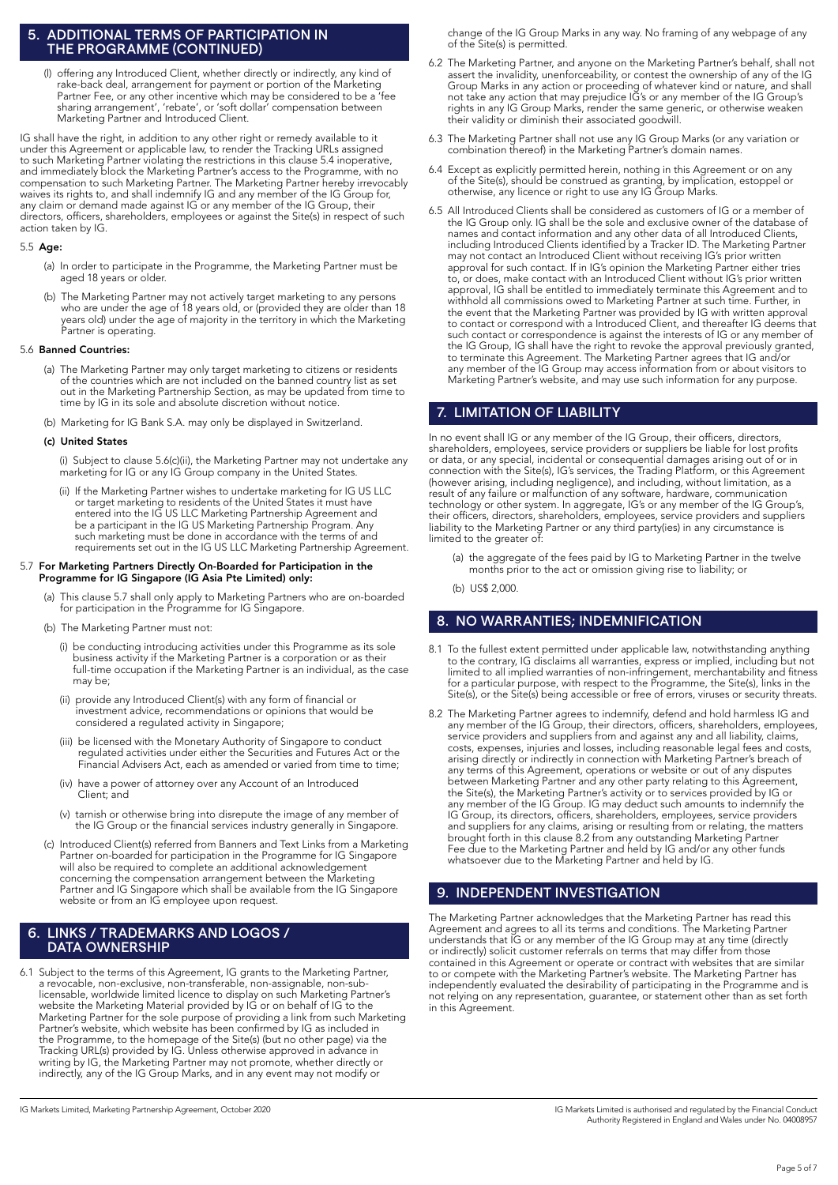#### 5. ADDITIONAL TERMS OF PARTICIPATION IN THE PROGRAMME (CONTINUED)

 (l) offering any Introduced Client, whether directly or indirectly, any kind of rake-back deal, arrangement for payment or portion of the Marketing Partner Fee, or any other incentive which may be considered to be a 'fee sharing arrangement', 'rebate', or 'soft dollar' compensation between Marketing Partner and Introduced Client.

IG shall have the right, in addition to any other right or remedy available to it under this Agreement or applicable law, to render the Tracking URLs assigned to such Marketing Partner violating the restrictions in this clause 5.4 inoperative, and immediately block the Marketing Partner's access to the Programme, with no compensation to such Marketing Partner. The Marketing Partner hereby irrevocably waives its rights to, and shall indemnify IG and any member of the IG Group for, any claim or demand made against IG or any member of the IG Group, their directors, officers, shareholders, employees or against the Site(s) in respect of such action taken by IG.

#### 5.5 Age:

- (a) In order to participate in the Programme, the Marketing Partner must be aged 18 years or older.
- (b) The Marketing Partner may not actively target marketing to any persons who are under the age of 18 years old, or (provided they are older than 18 years old) under the age of majority in the territory in which the Marketing Partner is operating.

#### 5.6 Banned Countries:

- (a) The Marketing Partner may only target marketing to citizens or residents of the countries which are not included on the banned country list as set out in the Marketing Partnership Section, as may be updated from time to time by IG in its sole and absolute discretion without notice.
- (b) Marketing for IG Bank S.A. may only be displayed in Switzerland.

#### (c) United States

 (i) Subject to clause 5.6(c)(ii), the Marketing Partner may not undertake any marketing for IG or any IG Group company in the United States.

- (ii) If the Marketing Partner wishes to undertake marketing for IG US LLC or target marketing to residents of the United States it must have entered into the IG US LLC Marketing Partnership Agreement and be a participant in the IG US Marketing Partnership Program. Any such marketing must be done in accordance with the terms of and requirements set out in the IG US LLC Marketing Partnership Agreement.
- 5.7 For Marketing Partners Directly On-Boarded for Participation in the Programme for IG Singapore (IG Asia Pte Limited) only:
	- (a) This clause 5.7 shall only apply to Marketing Partners who are on-boarded for participation in the Programme for IG Singapore.
	- (b) The Marketing Partner must not:
- (i) be conducting introducing activities under this Programme as its sole business activity if the Marketing Partner is a corporation or as their full-time occupation if the Marketing Partner is an individual, as the case may be;
	- (ii) provide any Introduced Client(s) with any form of financial or investment advice, recommendations or opinions that would be considered a regulated activity in Singapore;
	- (iii) be licensed with the Monetary Authority of Singapore to conduct regulated activities under either the Securities and Futures Act or the Financial Advisers Act, each as amended or varied from time to time;
	- (iv) have a power of attorney over any Account of an Introduced Client; and
	- (v) tarnish or otherwise bring into disrepute the image of any member of the IG Group or the financial services industry generally in Singapore.
	- (c) Introduced Client(s) referred from Banners and Text Links from a Marketing Partner on-boarded for participation in the Programme for IG Singapore will also be required to complete an additional acknowledgement concerning the compensation arrangement between the Marketing Partner and IG Singapore which shall be available from the IG Singapore website or from an IG employee upon request.

## 6. LINKS / TRADEMARKS AND LOGOS / DATA OWNERSHIP

6.1 Subject to the terms of this Agreement, IG grants to the Marketing Partner, a revocable, non-exclusive, non-transferable, non-assignable, non-sublicensable, worldwide limited licence to display on such Marketing Partner's website the Marketing Material provided by IG or on behalf of IG to the Marketing Partner for the sole purpose of providing a link from such Marketing Partner's website, which website has been confirmed by IG as included in the Programme, to the homepage of the Site(s) (but no other page) via the Tracking URL(s) provided by IG. Unless otherwise approved in advance in writing by IG, the Marketing Partner may not promote, whether directly or indirectly, any of the IG Group Marks, and in any event may not modify or

change of the IG Group Marks in any way. No framing of any webpage of any of the Site(s) is permitted.

- 6.2 The Marketing Partner, and anyone on the Marketing Partner's behalf, shall not assert the invalidity, unenforceability, or contest the ownership of any of the IG Group Marks in any action or proceeding of whatever kind or nature, and shall not take any action that may prejudice IG's or any member of the IG Group's rights in any IG Group Marks, render the same generic, or otherwise weaken their validity or diminish their associated goodwill.
- 6.3 The Marketing Partner shall not use any IG Group Marks (or any variation or combination thereof) in the Marketing Partner's domain names.
- 6.4 Except as explicitly permitted herein, nothing in this Agreement or on any of the Site(s), should be construed as granting, by implication, estoppel or otherwise, any licence or right to use any IG Group Marks.
- 6.5 All Introduced Clients shall be considered as customers of IG or a member of the IG Group only. IG shall be the sole and exclusive owner of the database of names and contact information and any other data of all Introduced Clients, including Introduced Clients identified by a Tracker ID. The Marketing Partner may not contact an Introduced Client without receiving IG's prior written approval for such contact. If in IG's opinion the Marketing Partner either tries to, or does, make contact with an Introduced Client without IG's prior written approval, IG shall be entitled to immediately terminate this Agreement and to withhold all commissions owed to Marketing Partner at such time. Further, in the event that the Marketing Partner was provided by IG with written approval to contact or correspond with a Introduced Client, and thereafter IG deems that such contact or correspondence is against the interests of IG or any member of the IG Group, IG shall have the right to revoke the approval previously granted, to terminate this Agreement. The Marketing Partner agrees that IG and/or any member of the IG Group may access information from or about visitors to Marketing Partner's website, and may use such information for any purpose.

## 7. LIMITATION OF LIABILITY

In no event shall IG or any member of the IG Group, their officers, directors, shareholders, employees, service providers or suppliers be liable for lost profits or data, or any special, incidental or consequential damages arising out of or in connection with the Site(s), IG's services, the Trading Platform, or this Agreement (however arising, including negligence), and including, without limitation, as a result of any failure or malfunction of any software, hardware, communication technology or other system. In aggregate, IG's or any member of the IG Group's, their officers, directors, shareholders, employees, service providers and suppliers liability to the Marketing Partner or any third party(ies) in any circumstance is limited to the greater of:

- (a) the aggregate of the fees paid by IG to Marketing Partner in the twelve months prior to the act or omission giving rise to liability; or
- (b) US\$ 2,000.

## 8. NO WARRANTIES; INDEMNIFICATION

- 8.1 To the fullest extent permitted under applicable law, notwithstanding anything to the contrary, IG disclaims all warranties, express or implied, including but not limited to all implied warranties of non-infringement, merchantability and fitness for a particular purpose, with respect to the Programme, the Site(s), links in the Site(s), or the Site(s) being accessible or free of errors, viruses or security threats.
- 8.2 The Marketing Partner agrees to indemnify, defend and hold harmless IG and any member of the IG Group, their directors, officers, shareholders, employees, service providers and suppliers from and against any and all liability, claims, costs, expenses, injuries and losses, including reasonable legal fees and costs, arising directly or indirectly in connection with Marketing Partner's breach of any terms of this Agreement, operations or website or out of any disputes between Marketing Partner and any other party relating to this Agreement, the Site(s), the Marketing Partner's activity or to services provided by IG or any member of the IG Group. IG may deduct such amounts to indemnify the IG Group, its directors, officers, shareholders, employees, service providers and suppliers for any claims, arising or resulting from or relating, the matters brought forth in this clause 8.2 from any outstanding Marketing Partner Fee due to the Marketing Partner and held by IG and/or any other funds whatsoever due to the Marketing Partner and held by IG.

## 9. INDEPENDENT INVESTIGATION

The Marketing Partner acknowledges that the Marketing Partner has read this Agreement and agrees to all its terms and conditions. The Marketing Partner understands that IG or any member of the IG Group may at any time (directly or indirectly) solicit customer referrals on terms that may differ from those contained in this Agreement or operate or contract with websites that are similar to or compete with the Marketing Partner's website. The Marketing Partner has independently evaluated the desirability of participating in the Programme and is not relying on any representation, guarantee, or statement other than as set forth in this Agreement.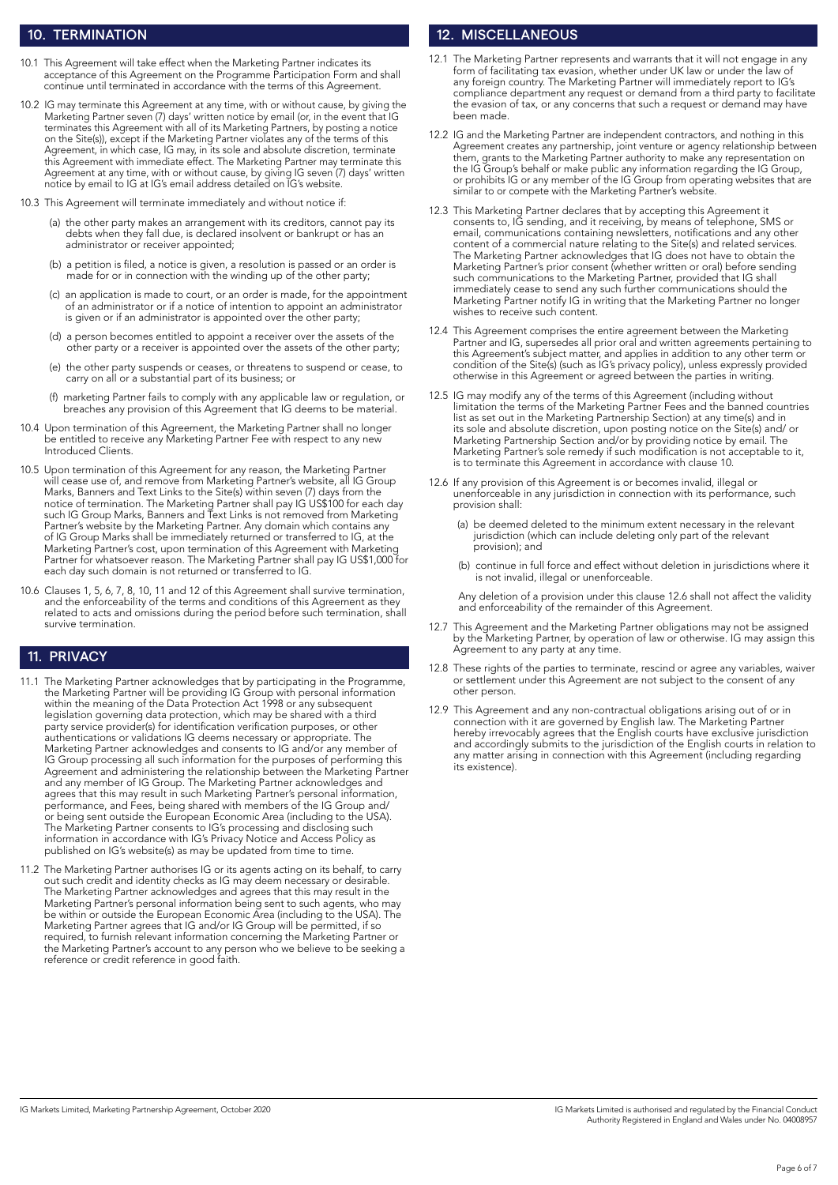### 10. TERMINATION

- 10.1 This Agreement will take effect when the Marketing Partner indicates its acceptance of this Agreement on the Programme Participation Form and shall continue until terminated in accordance with the terms of this Agreement.
- 10.2 IG may terminate this Agreement at any time, with or without cause, by giving the Marketing Partner seven (7) days' written notice by email (or, in the event that IG terminates this Agreement with all of its Marketing Partners, by posting a notice on the Site(s)), except if the Marketing Partner violates any of the terms of this Agreement, in which case, IG may, in its sole and absolute discretion, terminate this Agreement with immediate effect. The Marketing Partner may terminate this Agreement at any time, with or without cause, by giving IG seven (7) days' written notice by email to IG at IG's email address detailed on IG's website.
- 10.3 This Agreement will terminate immediately and without notice if:
- (a) the other party makes an arrangement with its creditors, cannot pay its debts when they fall due, is declared insolvent or bankrupt or has an administrator or receiver appointed;
	- (b) a petition is filed, a notice is given, a resolution is passed or an order is made for or in connection with the winding up of the other party;
	- (c) an application is made to court, or an order is made, for the appointment of an administrator or if a notice of intention to appoint an administrator is given or if an administrator is appointed over the other party;
	- (d) a person becomes entitled to appoint a receiver over the assets of the other party or a receiver is appointed over the assets of the other party;
	- (e) the other party suspends or ceases, or threatens to suspend or cease, to carry on all or a substantial part of its business; or
	- (f) marketing Partner fails to comply with any applicable law or regulation, or breaches any provision of this Agreement that IG deems to be material.
- 10.4 Upon termination of this Agreement, the Marketing Partner shall no longer be entitled to receive any Marketing Partner Fee with respect to any new Introduced Clients.
- 10.5 Upon termination of this Agreement for any reason, the Marketing Partner will cease use of, and remove from Marketing Partner's website, all IG Group Marks, Banners and Text Links to the Site(s) within seven (7) days from the notice of termination. The Marketing Partner shall pay IG US\$100 for each day such IG Group Marks, Banners and Text Links is not removed from Marketing Partner's website by the Marketing Partner. Any domain which contains any of IG Group Marks shall be immediately returned or transferred to IG, at the Marketing Partner's cost, upon termination of this Agreement with Marketing Partner for whatsoever reason. The Marketing Partner shall pay IG US\$1,000 for each day such domain is not returned or transferred to IG.
- 10.6 Clauses 1, 5, 6, 7, 8, 10, 11 and 12 of this Agreement shall survive termination, and the enforceability of the terms and conditions of this Agreement as they related to acts and omissions during the period before such termination, shall survive termination.

## 11. PRIVACY

- 11.1 The Marketing Partner acknowledges that by participating in the Programme, the Marketing Partner will be providing IG Group with personal information within the meaning of the Data Protection Act 1998 or any subsequent legislation governing data protection, which may be shared with a third party service provider(s) for identification verification purposes, or other authentications or validations IG deems necessary or appropriate. The Marketing Partner acknowledges and consents to IG and/or any member of IG Group processing all such information for the purposes of performing this Agreement and administering the relationship between the Marketing Partner and any member of IG Group. The Marketing Partner acknowledges and agrees that this may result in such Marketing Partner's personal information, performance, and Fees, being shared with members of the IG Group and/ or being sent outside the European Economic Area (including to the USA). The Marketing Partner consents to IG's processing and disclosing such information in accordance with IG's Privacy Notice and Access Policy as published on IG's website(s) as may be updated from time to time.
- 11.2 The Marketing Partner authorises IG or its agents acting on its behalf, to carry out such credit and identity checks as IG may deem necessary or desirable. The Marketing Partner acknowledges and agrees that this may result in the Marketing Partner's personal information being sent to such agents, who may be within or outside the European Economic Area (including to the USA). The Marketing Partner agrees that IG and/or IG Group will be permitted, if so required, to furnish relevant information concerning the Marketing Partner or the Marketing Partner's account to any person who we believe to be seeking a reference or credit reference in good faith.

## 12. MISCELLANEOUS

- The Marketing Partner represents and warrants that it will not engage in any form of facilitating tax evasion, whether under UK law or under the law of any foreign country. The Marketing Partner will immediately report to IG's compliance department any request or demand from a third party to facilitate the evasion of tax, or any concerns that such a request or demand may have been made.
- 12.2 IG and the Marketing Partner are independent contractors, and nothing in this Agreement creates any partnership, joint venture or agency relationship between them, grants to the Marketing Partner authority to make any representation on the IG Group's behalf or make public any information regarding the IG Group, or prohibits IG or any member of the IG Group from operating websites that are similar to or compete with the Marketing Partner's website.
- 12.3 This Marketing Partner declares that by accepting this Agreement it consents to, IG sending, and it receiving, by means of telephone, SMS or email, communications containing newsletters, notifications and any other content of a commercial nature relating to the Site(s) and related services. The Marketing Partner acknowledges that IG does not have to obtain the Marketing Partner's prior consent (whether written or oral) before sending such communications to the Marketing Partner, provided that IG shall immediately cease to send any such further communications should the Marketing Partner notify IG in writing that the Marketing Partner no longer wishes to receive such content.
- 12.4 This Agreement comprises the entire agreement between the Marketing Partner and IG, supersedes all prior oral and written agreements pertaining to this Agreement's subject matter, and applies in addition to any other term or condition of the Site(s) (such as IG's privacy policy), unless expressly provided otherwise in this Agreement or agreed between the parties in writing.
- 12.5 IG may modify any of the terms of this Agreement (including without limitation the terms of the Marketing Partner Fees and the banned countries list as set out in the Marketing Partnership Section) at any time(s) and in its sole and absolute discretion, upon posting notice on the Site(s) and/ or Marketing Partnership Section and/or by providing notice by email. The Marketing Partner's sole remedy if such modification is not acceptable to it, is to terminate this Agreement in accordance with clause 10.
- 12.6 If any provision of this Agreement is or becomes invalid, illegal or unenforceable in any jurisdiction in connection with its performance, such provision shall:
	- (a) be deemed deleted to the minimum extent necessary in the relevant jurisdiction (which can include deleting only part of the relevant provision); and
	- (b) continue in full force and effect without deletion in jurisdictions where it is not invalid, illegal or unenforceable.

 Any deletion of a provision under this clause 12.6 shall not affect the validity and enforceability of the remainder of this Agreement.

- 12.7 This Agreement and the Marketing Partner obligations may not be assigned by the Marketing Partner, by operation of law or otherwise. IG may assign this Agreement to any party at any time.
- 12.8 These rights of the parties to terminate, rescind or agree any variables, waiver or settlement under this Agreement are not subject to the consent of any other person.
- 12.9 This Agreement and any non-contractual obligations arising out of or in connection with it are governed by English law. The Marketing Partner hereby irrevocably agrees that the English courts have exclusive jurisdiction and accordingly submits to the jurisdiction of the English courts in relation to any matter arising in connection with this Agreement (including regarding its existence).